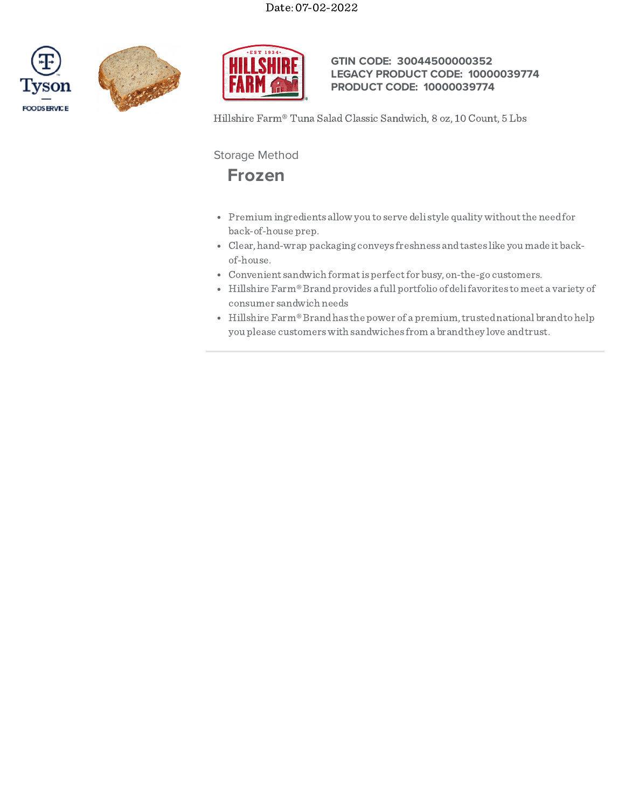





## **GTIN CODE: 30044500000352 LEGACY PRODUCT CODE: 10000039774 PRODUCT CODE: 10000039774**

Hillshire Farm® Tuna Salad Classic Sandwich, 8 oz, 10 Count, 5 Lbs

Storage Method

# **Frozen**

- Premium ingredients allow you to serve deli style quality withoutthe needfor back-of-house prep.
- Clear, hand-wrap packaging conveys freshness andtastes like you made it backof-house.
- Convenient sandwich formatis perfectfor busy, on-the-go customers.
- Hillshire Farm®Brandprovides a full portfolio of delifavorites tomeet a variety of consumer sandwich needs
- Hillshire  $\mathrm{Farm}^{\circledast}$  Brand has the power of a premium, trusted national brand to help you please customerswith sandwiches from a brandthey love andtrust.